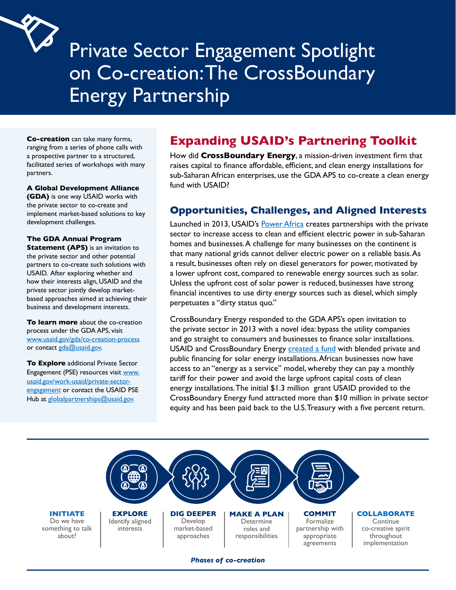

# Private Sector Engagement Spotlight on Co-creation:The CrossBoundary Energy Partnership

**Co-creation** can take many forms, ranging from a series of phone calls with a prospective partner to a structured, facilitated series of workshops with many partners.

#### **A Global Development Alliance**

 development challenges. **(GDA)** is one way USAID works with the private sector to co-create and implement market-based solutions to key

 USAID. After exploring whether and **The GDA Annual Program Statement (APS)** is an invitation to the private sector and other potential partners to co-create such solutions with how their interests align, USAID and the private sector jointly develop marketbased approaches aimed at achieving their business and development interests.

www.usaid.gov/gda/co-creation-process<br>or contact <u>gda@usaid.gov</u>. **To learn more** about the co-creation process under the GDA APS, visit

**To Explore** additional Private Sector Engagement (PSE) resources visit www. usaid.gov/work-usaid/private-sectorengagement or contact the USAID PSE Hub at globalpartnerships@usaid.gov.

# **Expanding USAID's Partnering Toolkit**

How did **CrossBoundary Energy**, a mission-driven investment firm that raises capital to finance affordable, efficient, and clean energy installations for sub-Saharan African enterprises, use the GDA APS to co-create a clean energy fund with USAID?

#### **Opportunities, Challenges, and Aligned Interests**

 a lower upfront cost, compared to renewable energy sources such as solar. Launched in 2013, USAID's [Power Africa](https://www.google.com/url?q=https://www.usaid.gov/powerafrica/aboutus&sa=D&source=editors&ust=1631569463365000&usg=AOvVaw0GrNMFhsYKOaKHUMmmMo5c) creates partnerships with the private sector to increase access to clean and efficient electric power in sub-Saharan homes and businesses.A challenge for many businesses on the continent is that many national grids cannot deliver electric power on a reliable [basis.As](https://basis.As) a result, businesses often rely on diesel generators for power, motivated by Unless the upfront cost of solar power is reduced, businesses have strong financial incentives to use dirty energy sources such as diesel, which simply perpetuates a "dirty status quo."

CrossBoundary Energy responded to the GDA APS's open invitation to the private sector in 2013 with a novel idea: bypass the utility companies and go straight to consumers and businesses to finance solar installations. USAID and CrossBoundary Energy [created a fund](https://www.usaid.gov/sites/default/files/documents/1865/PCM_CrossBoundary_9_19_2016.pdf) with blended private and public financing for solar energy installations.African businesses now have access to an "energy as a service" model, whereby they can pay a monthly tariff for their power and avoid the large upfront capital costs of clean energy installations.The initial \$1.3 million grant USAID provided to the CrossBoundary Energy fund attracted more than \$10 million in private sector equity and has been paid back to the U.S.Treasury with a five percent return.